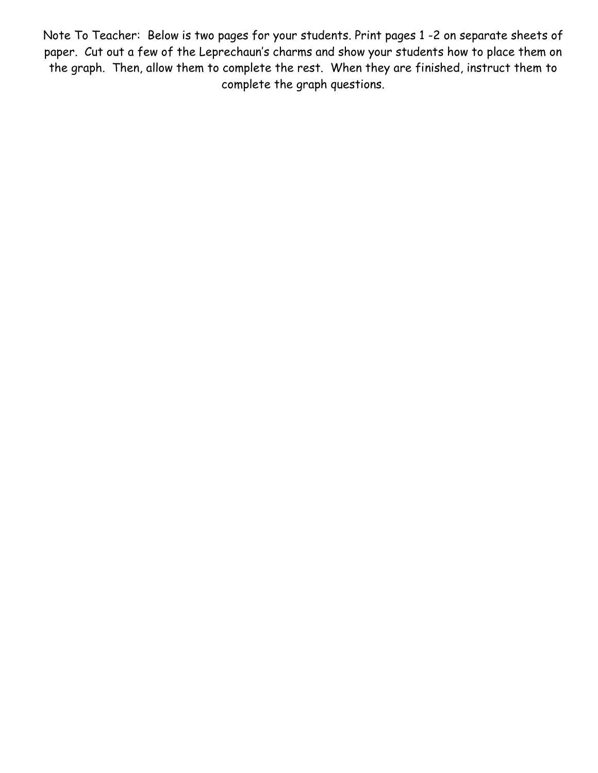Note To Teacher: Below is two pages for your students. Print pages 1 -2 on separate sheets of paper. Cut out a few of the Leprechaun's charms and show your students how to place them on the graph. Then, allow them to complete the rest. When they are finished, instruct them to complete the graph questions.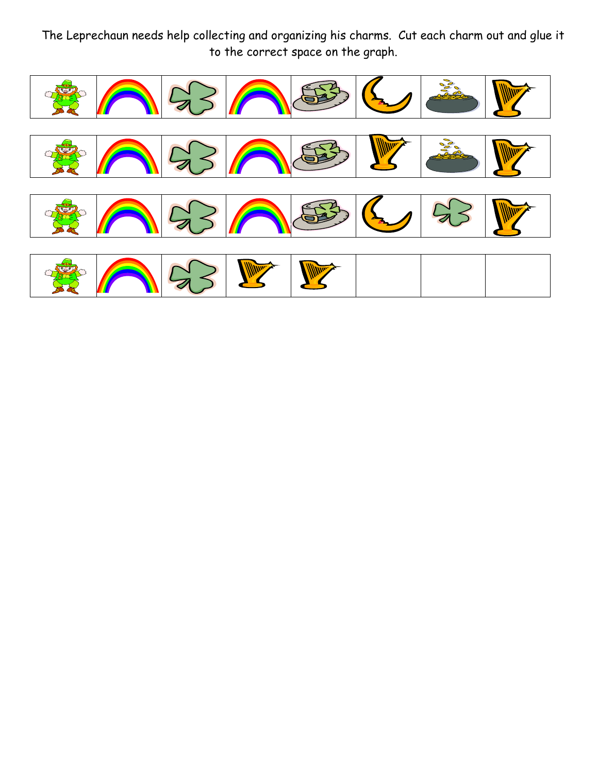The Leprechaun needs help collecting and organizing his charms. Cut each charm out and glue it to the correct space on the graph.